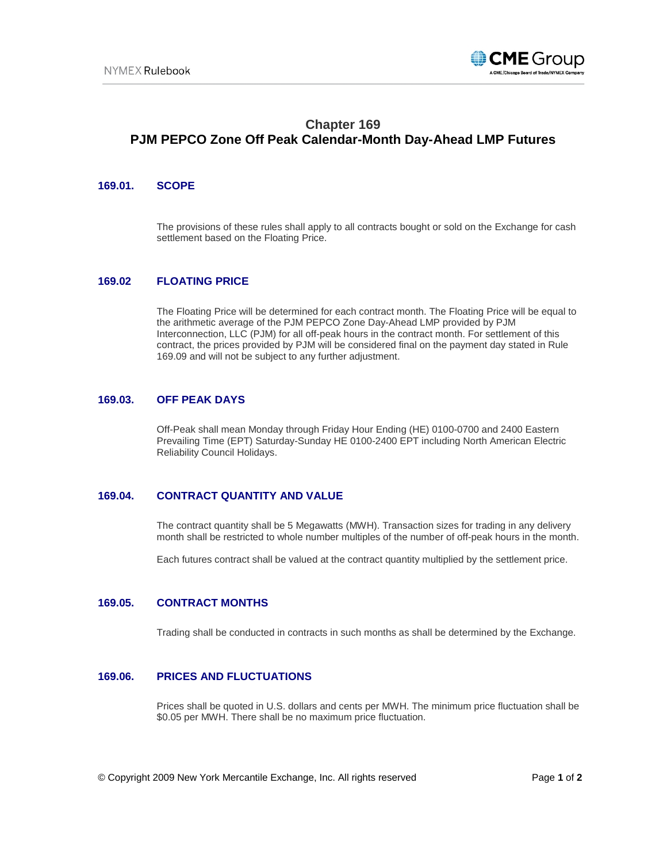

# **Chapter 169 PJM PEPCO Zone Off Peak Calendar-Month Day-Ahead LMP Futures**

## **169.01. SCOPE**

The provisions of these rules shall apply to all contracts bought or sold on the Exchange for cash settlement based on the Floating Price.

## **169.02 FLOATING PRICE**

The Floating Price will be determined for each contract month. The Floating Price will be equal to the arithmetic average of the PJM PEPCO Zone Day-Ahead LMP provided by PJM Interconnection, LLC (PJM) for all off-peak hours in the contract month. For settlement of this contract, the prices provided by PJM will be considered final on the payment day stated in Rule 169.09 and will not be subject to any further adjustment.

#### **169.03. OFF PEAK DAYS**

Off-Peak shall mean Monday through Friday Hour Ending (HE) 0100-0700 and 2400 Eastern Prevailing Time (EPT) Saturday-Sunday HE 0100-2400 EPT including North American Electric Reliability Council Holidays.

# **169.04. CONTRACT QUANTITY AND VALUE**

The contract quantity shall be 5 Megawatts (MWH). Transaction sizes for trading in any delivery month shall be restricted to whole number multiples of the number of off-peak hours in the month.

Each futures contract shall be valued at the contract quantity multiplied by the settlement price.

#### **169.05. CONTRACT MONTHS**

Trading shall be conducted in contracts in such months as shall be determined by the Exchange.

## **169.06. PRICES AND FLUCTUATIONS**

Prices shall be quoted in U.S. dollars and cents per MWH. The minimum price fluctuation shall be \$0.05 per MWH. There shall be no maximum price fluctuation.